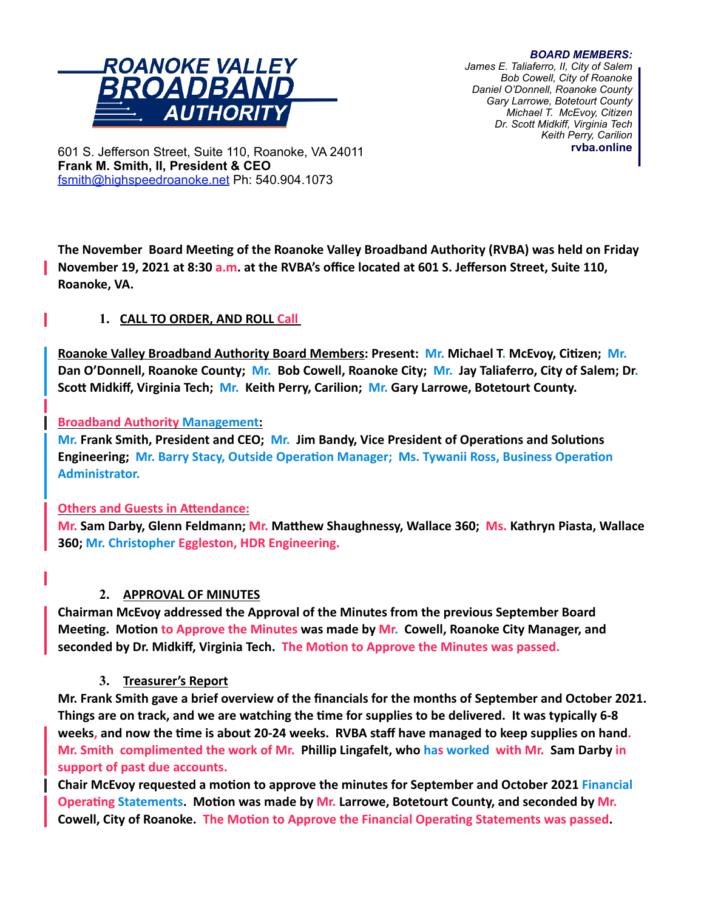# ROANOKE VALLEY ROADBAND *AUTHORIT*

*BOARD MEMBERS: James E. Taliaferro, II, City of Salem Bob Cowell, City of Roanoke Daniel O'Donnell, Roanoke County Gary Larrowe, Botetourt County Michael T. McEvoy, Citizen Dr. Scott Midkiff, Virginia Tech Keith Perry, Carilion* **rvba.online**

601 S. Jefferson Street, Suite 110, Roanoke, VA 24011 **Frank M. Smith, II, President & CEO** [fsmith@highspeedroanoke.net](mailto:fsmith@highspeedroanoke.net) Ph: 540.904.1073

**The November Board Meeting of the Roanoke Valley Broadband Authority (RVBA) was held on Friday November 19, 2021 at 8:30 a.m. at the RVBA's office located at 601 S. Jefferson Street, Suite 110, Roanoke, VA.**

## **1. CALL TO ORDER, AND ROLL Call**

**Roanoke Valley Broadband Authority Board Members: Present: Mr. Michael T. McEvoy, Citizen; Mr. Dan O'Donnell, Roanoke County; Mr. Bob Cowell, Roanoke City; Mr. Jay Taliaferro, City of Salem; Dr. Scott Midkiff, Virginia Tech; Mr. Keith Perry, Carilion; Mr. Gary Larrowe, Botetourt County.**

### **Broadband Authority Management:**

**Mr. Frank Smith, President and CEO; Mr. Jim Bandy, Vice President of Operations and Solutions Engineering; Mr. Barry Stacy, Outside Operation Manager; Ms. Tywanii Ross, Business Operation Administrator.** 

### **Others and Guests in Attendance:**

**Mr. Sam Darby, Glenn Feldmann; Mr. Matthew Shaughnessy, Wallace 360; Ms. Kathryn Piasta, Wallace 360; Mr. Christopher Eggleston, HDR Engineering.**

## **2. APPROVAL OF MINUTES**

**Chairman McEvoy addressed the Approval of the Minutes from the previous September Board Meeting. Motion to Approve the Minutes was made by Mr. Cowell, Roanoke City Manager, and seconded by Dr. Midkiff, Virginia Tech. The Motion to Approve the Minutes was passed.**

## **3. Treasurer's Report**

**Mr. Frank Smith gave a brief overview of the financials for the months of September and October 2021. Things are on track, and we are watching the time for supplies to be delivered. It was typically 6-8 weeks, and now the time is about 20-24 weeks. RVBA staff have managed to keep supplies on hand. Mr. Smith complimented the work of Mr. Phillip Lingafelt, who has worked with Mr. Sam Darby in support of past due accounts.**

**Chair McEvoy requested a motion to approve the minutes for September and October 2021 Financial Operating Statements. Motion was made by Mr. Larrowe, Botetourt County, and seconded by Mr. Cowell, City of Roanoke. The Motion to Approve the Financial Operating Statements was passed.**